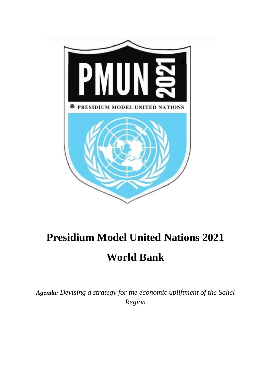

# **Presidium Model United Nations 2021 World Bank**

*Agenda: Devising a strategy for the economic upliftment of the Sahel Region*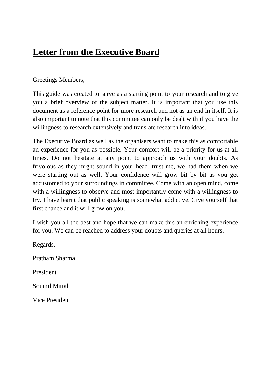## **Letter from the Executive Board**

### Greetings Members,

This guide was created to serve as a starting point to your research and to give you a brief overview of the subject matter. It is important that you use this document as a reference point for more research and not as an end in itself. It is also important to note that this committee can only be dealt with if you have the willingness to research extensively and translate research into ideas.

The Executive Board as well as the organisers want to make this as comfortable an experience for you as possible. Your comfort will be a priority for us at all times. Do not hesitate at any point to approach us with your doubts. As frivolous as they might sound in your head, trust me, we had them when we were starting out as well. Your confidence will grow bit by bit as you get accustomed to your surroundings in committee. Come with an open mind, come with a willingness to observe and most importantly come with a willingness to try. I have learnt that public speaking is somewhat addictive. Give yourself that first chance and it will grow on you.

I wish you all the best and hope that we can make this an enriching experience for you. We can be reached to address your doubts and queries at all hours.

Regards, Pratham Sharma President Soumil Mittal Vice President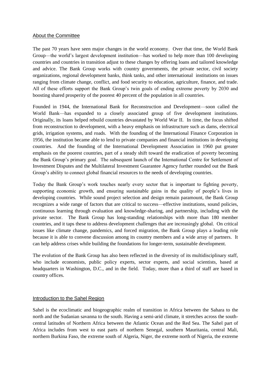#### About the Committee

The past 70 years have seen major changes in the world economy. Over that time, the World Bank Group—the world's largest development institution—has worked to help more than 100 developing countries and countries in transition adjust to these changes by offering loans and tailored knowledge and advice. The Bank Group works with country governments, the private sector, civil society organizations, regional development banks, think tanks, and other international institutions on issues ranging from climate change, conflict, and food security to education, agriculture, finance, and trade. All of these efforts support the Bank Group's twin goals of ending extreme poverty by 2030 and boosting shared prosperity of the poorest 40 percent of the population in all countries.

Founded in 1944, the International Bank for Reconstruction and Development—soon called the World Bank—has expanded to a closely associated group of five development institutions. Originally, its loans helped rebuild countries devastated by World War II. In time, the focus shifted from reconstruction to development, with a heavy emphasis on infrastructure such as dams, electrical grids, irrigation systems, and roads. With the founding of the International Finance Corporation in 1956, the institution became able to lend to private companies and financial institutions in developing countries. And the founding of the International Development Association in 1960 put greater emphasis on the poorest countries, part of a steady shift toward the eradication of poverty becoming the Bank Group's primary goal. The subsequent launch of the International Centre for Settlement of Investment Disputes and the Multilateral Investment Guarantee Agency further rounded out the Bank Group's ability to connect global financial resources to the needs of developing countries.

Today the Bank Group's work touches nearly every sector that is important to fighting poverty, supporting economic growth, and ensuring sustainable gains in the quality of people's lives in developing countries. While sound project selection and design remain paramount, the Bank Group recognizes a wide range of factors that are critical to success—effective institutions, sound policies, continuous learning through evaluation and knowledge-sharing, and partnership, including with the private sector. The Bank Group has long-standing relationships with more than 180 member countries, and it taps these to address development challenges that are increasingly global. On critical issues like climate change, pandemics, and forced migration, the Bank Group plays a leading role because it is able to convene discussion among its country members and a wide array of partners. It can help address crises while building the foundations for longer-term, sustainable development.

The evolution of the Bank Group has also been reflected in the diversity of its multidisciplinary staff, who include economists, public policy experts, sector experts, and social scientists, based at headquarters in Washington, D.C., and in the field. Today, more than a third of staff are based in country offices.

#### Introduction to the Sahel Region

Sahel is the ecoclimatic and [biogeographic realm](https://en.wikipedia.org/wiki/Biogeographic_realm) of [transition](https://en.wikipedia.org/wiki/Ecotone) in [Africa](https://en.wikipedia.org/wiki/Africa) between the [Sahara](https://en.wikipedia.org/wiki/Sahara) to the north and the [Sudanian savanna](https://en.wikipedia.org/wiki/Sudanian_savanna) to the south. Having a [semi-arid climate,](https://en.wikipedia.org/wiki/Semi-arid_climate) it stretches across the southcentral latitudes of [Northern Africa](https://en.wikipedia.org/wiki/Northern_Africa) between the Atlantic Ocean and the [Red Sea.](https://en.wikipedia.org/wiki/Red_Sea) The Sahel part of Africa includes from west to east parts of northern [Senegal,](https://en.wikipedia.org/wiki/Senegal) southern [Mauritania,](https://en.wikipedia.org/wiki/Mauritania) central [Mali,](https://en.wikipedia.org/wiki/Mali) northern [Burkina Faso,](https://en.wikipedia.org/wiki/Burkina_Faso) the extreme south of [Algeria,](https://en.wikipedia.org/wiki/Algeria) [Niger,](https://en.wikipedia.org/wiki/Niger) the extreme north of [Nigeria,](https://en.wikipedia.org/wiki/Nigeria) the extreme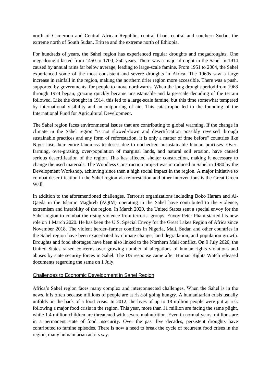north of [Cameroon](https://en.wikipedia.org/wiki/Cameroon) and [Central African Republic,](https://en.wikipedia.org/wiki/Central_African_Republic) central [Chad,](https://en.wikipedia.org/wiki/Chad) central and southern [Sudan,](https://en.wikipedia.org/wiki/Sudan) the extreme north of [South Sudan,](https://en.wikipedia.org/wiki/South_Sudan) [Eritrea](https://en.wikipedia.org/wiki/Eritrea) and the extreme north of [Ethiopia.](https://en.wikipedia.org/wiki/Ethiopia)

For hundreds of years, the Sahel region has experienced regular droughts and [megadroughts.](https://en.wikipedia.org/wiki/Megadrought) One megadrought lasted from 1450 to 1700, 250 years. There was a major drought in the Sahel in 1914 caused by annual rains far below average, leading to large-scale famine. From 1951 to 2004, the Sahel experienced some of the most consistent and severe droughts in Africa. The 1960s saw a large increase in rainfall in the region, making the northern drier region more accessible. There was a push, supported by governments, for people to move northwards. When the long drought period from 1968 through 1974 began, grazing quickly became unsustainable and large-scale denuding of the terrain followed. Like the drought in 1914, this led to a large-scale famine, but this time somewhat tempered by international visibility and an outpouring of aid. This catastrophe led to the founding of the [International Fund for Agricultural Development.](https://en.wikipedia.org/wiki/International_Fund_for_Agricultural_Development)

The Sahel region faces environmental issues that are contributing to [global warming.](https://en.wikipedia.org/wiki/Global_warming) If the change in climate in the Sahel region "is not slowed-down and desertification possibly reversed through sustainable practices and any form of [reforestation,](https://en.wikipedia.org/wiki/Reforestation) it is only a matter of time before" countries like Niger lose their entire landmass to desert due to unchecked unsustainable human practises. Overfarming, over-grazing, [over-population](https://en.wikipedia.org/wiki/Over-population) of marginal lands, and natural [soil erosion,](https://en.wikipedia.org/wiki/Soil_erosion) have caused serious [desertification](https://en.wikipedia.org/wiki/Desertification) of the region. This has affected shelter construction, making it necessary to change the used materials. The Woodless Construction project was introduced in Sahel in 1980 by the Development Workshop, achieving since then a high social impact in the region. A major initiative to combat desertification in the Sahel region via reforestation and other interventions is the [Great Green](https://en.wikipedia.org/wiki/Great_Green_Wall_(Africa))  [Wall.](https://en.wikipedia.org/wiki/Great_Green_Wall_(Africa))

In addition to the aforementioned challenges, Terrorist organizations including [Boko Haram](https://en.wikipedia.org/wiki/Boko_Haram) and [Al-](https://en.wikipedia.org/wiki/Al-Qaeda_in_the_Islamic_Maghreb)[Qaeda in the Islamic Maghreb](https://en.wikipedia.org/wiki/Al-Qaeda_in_the_Islamic_Maghreb) (AQIM) operating in the Sahel have contributed to the violence, extremism and instability of the region. In March 2020, the United States sent a special envoy for the Sahel region to combat the rising violence from terrorist groups. Envoy Peter Pham started his new role on 1 March 2020. He has been the U.S. Special Envoy for the Great Lakes Region of Africa since November 2018. The violent [herder–farmer conflicts in Nigeria,](https://en.wikipedia.org/wiki/Herder%E2%80%93farmer_conflicts_in_Nigeria) [Mali,](https://en.wikipedia.org/wiki/March_2019_attacks_against_Fulani_herders) [Sudan](https://en.wikipedia.org/wiki/Sudanese_nomadic_conflicts) and other countries in the Sahel region have been exacerbated by climate change, land degradation, and [population growth.](https://en.wikipedia.org/wiki/Population_growth) Droughts and food shortages have been also linked to the [Northern Mali conflict.](https://en.wikipedia.org/wiki/Northern_Mali_conflict) On 9 July 2020, the [United States](https://en.wikipedia.org/wiki/United_States) raised concerns over growing number of allegations of human rights violations and abuses by state security forces in Sahel. The US response came after [Human Rights Watch](https://en.wikipedia.org/wiki/Human_Rights_Watch) released documents regarding the same on 1 July.

#### Challenges to Economic Development in Sahel Region

Africa's Sahel region faces many complex and interconnected challenges. When the Sahel is in the news, it is often because millions of people are at risk of going hungry. A humanitarian crisis usually unfolds on the back of a food crisis. In 2012, the lives of up to 18 million people were put at risk following a major food crisis in the region. This year, more than 11 million are facing the same plight, while 1.4 million children are threatened with severe malnutrition. Even in normal years, millions are in a permanent state of food insecurity. Over the past five decades, persistent droughts have contributed to famine episodes. There is now a need to break the cycle of recurrent food crises in the region, many humanitarian actors say.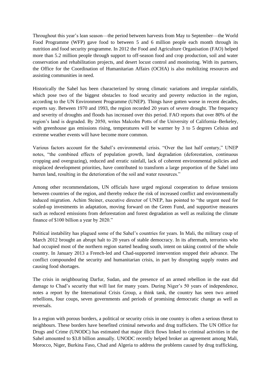Throughout this year's lean season—the period between harvests from May to September—the World Food Programme (WFP) gave food to between 5 and 6 million people each month through its nutrition and food security programme. In 2012 the Food and Agriculture Organisation (FAO) helped more than 5.2 million people through support to off-season food and crop production, soil and water conservation and rehabilitation projects, and desert locust control and monitoring. With its partners, the Office for the Coordination of Humanitarian Affairs (OCHA) is also mobilizing resources and assisting communities in need.

Historically the Sahel has been characterized by strong climatic variations and irregular rainfalls, which pose two of the biggest obstacles to food security and poverty reduction in the region, according to the UN Environment Programme (UNEP). Things have gotten worse in recent decades, experts say. Between 1970 and 1993, the region recorded 20 years of severe drought. The frequency and severity of droughts and floods has increased over this period. FAO reports that over 80% of the region's land is degraded. By 2050, writes Malcolm Potts of the University of California–Berkeley, with greenhouse gas emissions rising, temperatures will be warmer by 3 to 5 degrees Celsius and extreme weather events will have become more common.

Various factors account for the Sahel's environmental crisis. "Over the last half century," UNEP notes, "the combined effects of population growth, land degradation (deforestation, continuous cropping and overgrazing), reduced and erratic rainfall, lack of coherent environmental policies and misplaced development priorities, have contributed to transform a large proportion of the Sahel into barren land, resulting in the deterioration of the soil and water resources."

Among other recommendations, UN officials have urged regional cooperation to defuse tensions between countries of the region, and thereby reduce the risk of increased conflict and environmentally induced migration. Achim Steiner, executive director of UNEP, has pointed to "the urgent need for scaled-up investments in adaptation, moving forward on the Green Fund, and supportive measures such as reduced emissions from deforestation and forest degradation as well as realizing the climate finance of \$100 billion a year by 2020."

Political instability has plagued some of the Sahel's countries for years. In Mali, the military coup of March 2012 brought an abrupt halt to 20 years of stable democracy. In its aftermath, terrorists who had occupied most of the northern region started heading south, intent on taking control of the whole country. In January 2013 a French-led and Chad-supported intervention stopped their advance. The conflict compounded the security and humanitarian crisis, in part by disrupting supply routes and causing food shortages.

The crisis in neighbouring Darfur, Sudan, and the presence of an armed rebellion in the east did damage to Chad's security that will last for many years. During Niger's 50 years of independence, notes a report by the International Crisis Group, a think tank, the country has seen two armed rebellions, four coups, seven governments and periods of promising democratic change as well as reversals.

In a region with porous borders, a political or security crisis in one country is often a serious threat to neighbours. These borders have benefited criminal networks and drug traffickers. The UN Office for Drugs and Crime (UNODC) has estimated that major illicit flows linked to criminal activities in the Sahel amounted to \$3.8 billion annually. UNODC recently helped broker an agreement among Mali, Morocco, Niger, Burkina Faso, Chad and Algeria to address the problems caused by drug trafficking,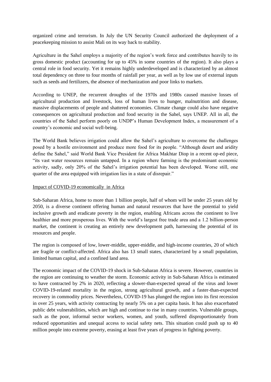organized crime and terrorism. In July the UN Security Council authorized the deployment of a peacekeeping mission to assist Mali on its way back to stability.

Agriculture in the Sahel employs a majority of the region's work force and contributes heavily to its gross domestic product (accounting for up to 45% in some countries of the region). It also plays a central role in food security. Yet it remains highly underdeveloped and is characterized by an almost total dependency on three to four months of rainfall per year, as well as by low use of external inputs such as seeds and fertilizers, the absence of mechanization and poor links to markets.

According to UNEP, the recurrent droughts of the 1970s and 1980s caused massive losses of agricultural production and livestock, loss of human lives to hunger, malnutrition and disease, massive displacements of people and shattered economies. Climate change could also have negative consequences on agricultural production and food security in the Sahel, says UNEP. All in all, the countries of the Sahel perform poorly on UNDP's Human Development Index, a measurement of a country's economic and social well-being.

The World Bank believes irrigation could allow the Sahel's agriculture to overcome the challenges posed by a hostile environment and produce more food for its people. "Although desert and aridity define the Sahel," said World Bank Vice President for Africa Makhtar Diop in a recent op-ed piece, "its vast water resources remain untapped. In a region where farming is the predominant economic activity, sadly, only 20% of the Sahel's irrigation potential has been developed. Worse still, one quarter of the area equipped with irrigation lies in a state of disrepair."

#### Impact of COVID-19 economically in Africa

Sub-Saharan Africa, home to more than 1 billion people, half of whom will be under 25 years old by 2050, is a diverse continent offering human and natural resources that have the potential to yield inclusive growth and eradicate poverty in the region, enabling Africans across the continent to live healthier and more prosperous lives. With the world's largest free trade area and a 1.2 billion-person market, the continent is creating an entirely new development path, harnessing the potential of its resources and people.

The region is composed of low, lower-middle, upper-middle, and high-income countries, 20 of which are fragile or conflict-affected. Africa also has 13 small states, characterized by a small population, limited human capital, and a confined land area.

The economic impact of the COVID-19 shock in Sub-Saharan Africa is severe. However, countries in the region are continuing to weather the storm. Economic activity in Sub-Saharan Africa is estimated to have contracted by 2% in 2020, reflecting a slower-than-expected spread of the virus and lower COVID-19-related mortality in the region, strong agricultural growth, and a faster-than-expected recovery in commodity prices. Nevertheless, COVID-19 has plunged the region into its first recession in over 25 years, with activity contracting by nearly 5% on a per capita basis. It has also exacerbated public debt vulnerabilities, which are high and continue to rise in many countries. Vulnerable groups, such as the poor, informal sector workers, women, and youth, suffered disproportionately from reduced opportunities and unequal access to social safety nets. This situation could push up to 40 million people into extreme poverty, erasing at least five years of progress in fighting poverty.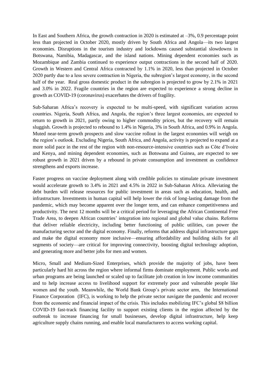In East and Southern Africa, the growth contraction in 2020 is estimated at –3%, 0.9 percentage point less than projected in October 2020, mostly driven by South Africa and Angola—its two largest economies. Disruptions in the tourism industry and lockdowns caused substantial slowdowns in Botswana, Namibia, Madagascar, and the island nations. Mining dependent economies such as Mozambique and Zambia continued to experience output contractions in the second half of 2020. Growth in Western and Central Africa contracted by 1.1% in 2020, less than projected in October 2020 partly due to a less severe contraction in Nigeria, the subregion's largest economy, in the second half of the year. Real gross domestic product in the subregion is projected to grow by 2.1% in 2021 and 3.0% in 2022. Fragile countries in the region are expected to experience a strong decline in growth as COVID-19 (coronavirus) exacerbates the drivers of fragility.

Sub-Saharan Africa's recovery is expected to be multi-speed, with significant variation across countries. Nigeria, South Africa, and Angola, the region's three largest economies, are expected to return to growth in 2021, partly owing to higher commodity prices, but the recovery will remain sluggish. Growth is projected to rebound to 1.4% in Nigeria, 3% in South Africa, and 0.9% in Angola. Muted near-term growth prospects and slow vaccine rollout in the largest economies will weigh on the region's outlook. Excluding Nigeria, South Africa, and Angola, activity is projected to expand at a more solid pace in the rest of the region with non-resource-intensive countries such as Côte d'Ivoire and Kenya, and mining dependent economies, such as Botswana and Guinea, are expected to see robust growth in 2021 driven by a rebound in private consumption and investment as confidence strengthens and exports increase.

Faster progress on vaccine deployment along with credible policies to stimulate private investment would accelerate growth to 3.4% in 2021 and 4.5% in 2022 in Sub-Saharan Africa. Alleviating the debt burden will release resources for public investment in areas such as education, health, and infrastructure. Investments in human capital will help lower the risk of long-lasting damage from the pandemic, which may become apparent over the longer term, and can enhance competitiveness and productivity. The next 12 months will be a critical period for leveraging the African Continental Free Trade Area, to deepen African countries' integration into regional and global value chains. Reforms that deliver reliable electricity, including better functioning of public utilities, can power the manufacturing sector and the digital economy. Finally, reforms that address digital infrastructure gaps and make the digital economy more inclusive—ensuring affordability and building skills for all segments of society—are critical for improving connectivity, boosting digital technology adoption, and generating more and better jobs for men and women.

Micro, Small and Medium-Sized Enterprises, which provide the majority of jobs, have been particularly hard hit across the region where informal firms dominate employment. Public works and urban programs are being launched or scaled up to facilitate job creation in low income communities and to help increase access to livelihood support for extremely poor and vulnerable people like women and the youth. Meanwhile, the World Bank Group's private sector arm, the International Finance Corporation (IFC), is working to help the private sector navigate the pandemic and recover from the economic and financial impact of the crisis. This includes mobilizing IFC's global \$8 billion COVID-19 fast-track financing facility to support existing clients in the region affected by the outbreak to increase financing for small businesses, develop digital infrastructure, help keep agriculture supply chains running, and enable local manufacturers to access working capital.